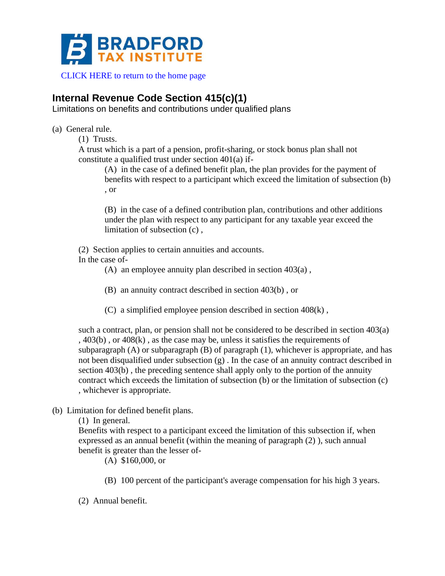

[CLICK HERE to return to the home page](http://www.bradfordtaxinstitute.com)

# **Internal Revenue Code Section 415(c)(1)**

Limitations on benefits and contributions under qualified plans

(a) General rule.

(1) Trusts.

A trust which is a part of a pension, profit-sharing, or stock bonus plan shall not constitute a qualified trust under section 401(a) if-

(A) in the case of a defined benefit plan, the plan provides for the payment of benefits with respect to a participant which exceed the limitation of subsection (b) , or

(B) in the case of a defined contribution plan, contributions and other additions under the plan with respect to any participant for any taxable year exceed the limitation of subsection (c) ,

(2) Section applies to certain annuities and accounts.

In the case of-

(A) an employee annuity plan described in section 403(a) ,

(B) an annuity contract described in section 403(b) , or

(C) a simplified employee pension described in section 408(k) ,

such a contract, plan, or pension shall not be considered to be described in section 403(a) , 403(b) , or 408(k) , as the case may be, unless it satisfies the requirements of subparagraph  $(A)$  or subparagraph  $(B)$  of paragraph  $(1)$ , whichever is appropriate, and has not been disqualified under subsection (g) . In the case of an annuity contract described in section 403(b) , the preceding sentence shall apply only to the portion of the annuity contract which exceeds the limitation of subsection (b) or the limitation of subsection (c) , whichever is appropriate.

(b) Limitation for defined benefit plans.

(1) In general.

Benefits with respect to a participant exceed the limitation of this subsection if, when expressed as an annual benefit (within the meaning of paragraph (2) ), such annual benefit is greater than the lesser of-

(A) \$160,000, or

(B) 100 percent of the participant's average compensation for his high 3 years.

(2) Annual benefit.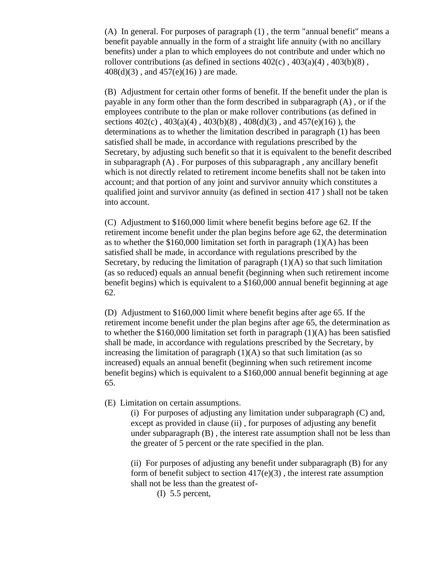(A) In general. For purposes of paragraph (1) , the term "annual benefit" means a benefit payable annually in the form of a straight life annuity (with no ancillary benefits) under a plan to which employees do not contribute and under which no rollover contributions (as defined in sections  $402(c)$ ,  $403(a)(4)$ ,  $403(b)(8)$ , 408(d)(3) , and 457(e)(16) ) are made.

(B) Adjustment for certain other forms of benefit. If the benefit under the plan is payable in any form other than the form described in subparagraph (A) , or if the employees contribute to the plan or make rollover contributions (as defined in sections 402(c) , 403(a)(4) , 403(b)(8) , 408(d)(3) , and 457(e)(16) ), the determinations as to whether the limitation described in paragraph (1) has been satisfied shall be made, in accordance with regulations prescribed by the Secretary, by adjusting such benefit so that it is equivalent to the benefit described in subparagraph  $(A)$ . For purposes of this subparagraph, any ancillary benefit which is not directly related to retirement income benefits shall not be taken into account; and that portion of any joint and survivor annuity which constitutes a qualified joint and survivor annuity (as defined in section 417 ) shall not be taken into account.

(C) Adjustment to \$160,000 limit where benefit begins before age 62. If the retirement income benefit under the plan begins before age 62, the determination as to whether the  $$160,000$  limitation set forth in paragraph  $(1)(A)$  has been satisfied shall be made, in accordance with regulations prescribed by the Secretary, by reducing the limitation of paragraph  $(1)(A)$  so that such limitation (as so reduced) equals an annual benefit (beginning when such retirement income benefit begins) which is equivalent to a \$160,000 annual benefit beginning at age 62.

(D) Adjustment to \$160,000 limit where benefit begins after age 65. If the retirement income benefit under the plan begins after age 65, the determination as to whether the \$160,000 limitation set forth in paragraph  $(1)(A)$  has been satisfied shall be made, in accordance with regulations prescribed by the Secretary, by increasing the limitation of paragraph  $(1)(A)$  so that such limitation (as so increased) equals an annual benefit (beginning when such retirement income benefit begins) which is equivalent to a \$160,000 annual benefit beginning at age 65.

(E) Limitation on certain assumptions.

(i) For purposes of adjusting any limitation under subparagraph (C) and, except as provided in clause (ii) , for purposes of adjusting any benefit under subparagraph (B) , the interest rate assumption shall not be less than the greater of 5 percent or the rate specified in the plan.

(ii) For purposes of adjusting any benefit under subparagraph (B) for any form of benefit subject to section  $417(e)(3)$ , the interest rate assumption shall not be less than the greatest of-

(I) 5.5 percent,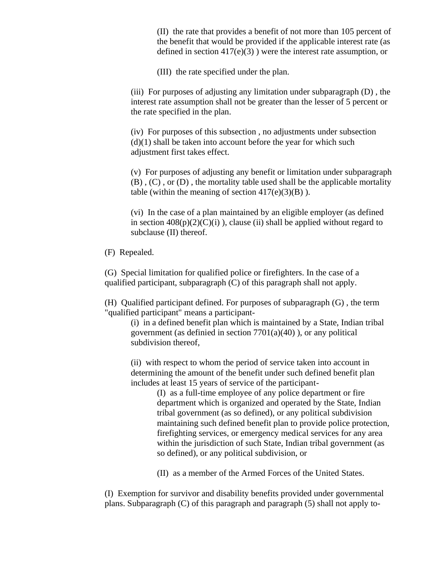(II) the rate that provides a benefit of not more than 105 percent of the benefit that would be provided if the applicable interest rate (as defined in section  $417(e)(3)$ ) were the interest rate assumption, or

(III) the rate specified under the plan.

(iii) For purposes of adjusting any limitation under subparagraph (D) , the interest rate assumption shall not be greater than the lesser of 5 percent or the rate specified in the plan.

(iv) For purposes of this subsection , no adjustments under subsection  $(d)(1)$  shall be taken into account before the year for which such adjustment first takes effect.

(v) For purposes of adjusting any benefit or limitation under subparagraph (B) , (C) , or (D) , the mortality table used shall be the applicable mortality table (within the meaning of section  $417(e)(3)(B)$ ).

(vi) In the case of a plan maintained by an eligible employer (as defined in section  $408(p)(2)(C)(i)$ , clause (ii) shall be applied without regard to subclause (II) thereof.

(F) Repealed.

(G) Special limitation for qualified police or firefighters. In the case of a qualified participant, subparagraph (C) of this paragraph shall not apply.

(H) Qualified participant defined. For purposes of subparagraph (G) , the term "qualified participant" means a participant-

(i) in a defined benefit plan which is maintained by a State, Indian tribal government (as definied in section  $7701(a)(40)$ ), or any political subdivision thereof,

(ii) with respect to whom the period of service taken into account in determining the amount of the benefit under such defined benefit plan includes at least 15 years of service of the participant-

> (I) as a full-time employee of any police department or fire department which is organized and operated by the State, Indian tribal government (as so defined), or any political subdivision maintaining such defined benefit plan to provide police protection, firefighting services, or emergency medical services for any area within the jurisdiction of such State, Indian tribal government (as so defined), or any political subdivision, or

(II) as a member of the Armed Forces of the United States.

(I) Exemption for survivor and disability benefits provided under governmental plans. Subparagraph (C) of this paragraph and paragraph (5) shall not apply to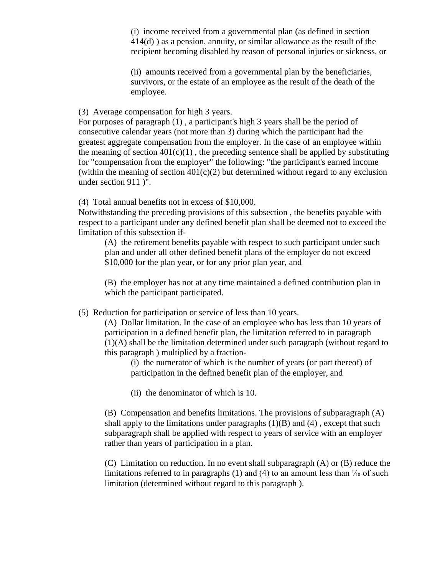(i) income received from a governmental plan (as defined in section 414(d) ) as a pension, annuity, or similar allowance as the result of the recipient becoming disabled by reason of personal injuries or sickness, or

(ii) amounts received from a governmental plan by the beneficiaries, survivors, or the estate of an employee as the result of the death of the employee.

(3) Average compensation for high 3 years.

For purposes of paragraph (1) , a participant's high 3 years shall be the period of consecutive calendar years (not more than 3) during which the participant had the greatest aggregate compensation from the employer. In the case of an employee within the meaning of section  $401(c)(1)$ , the preceding sentence shall be applied by substituting for "compensation from the employer" the following: "the participant's earned income (within the meaning of section  $401(c)(2)$  but determined without regard to any exclusion under section 911 )".

(4) Total annual benefits not in excess of \$10,000.

Notwithstanding the preceding provisions of this subsection , the benefits payable with respect to a participant under any defined benefit plan shall be deemed not to exceed the limitation of this subsection if-

(A) the retirement benefits payable with respect to such participant under such plan and under all other defined benefit plans of the employer do not exceed \$10,000 for the plan year, or for any prior plan year, and

(B) the employer has not at any time maintained a defined contribution plan in which the participant participated.

(5) Reduction for participation or service of less than 10 years.

(A) Dollar limitation. In the case of an employee who has less than 10 years of participation in a defined benefit plan, the limitation referred to in paragraph (1)(A) shall be the limitation determined under such paragraph (without regard to this paragraph ) multiplied by a fraction-

(i) the numerator of which is the number of years (or part thereof) of participation in the defined benefit plan of the employer, and

(ii) the denominator of which is 10.

(B) Compensation and benefits limitations. The provisions of subparagraph (A) shall apply to the limitations under paragraphs  $(1)(B)$  and  $(4)$ , except that such subparagraph shall be applied with respect to years of service with an employer rather than years of participation in a plan.

(C) Limitation on reduction. In no event shall subparagraph (A) or (B) reduce the limitations referred to in paragraphs (1) and (4) to an amount less than  $\frac{1}{10}$  of such limitation (determined without regard to this paragraph ).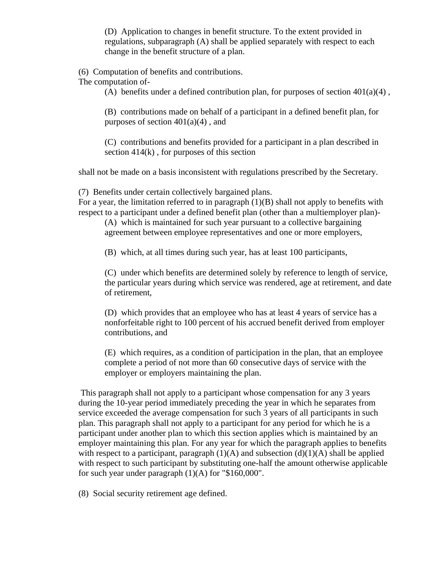(D) Application to changes in benefit structure. To the extent provided in regulations, subparagraph (A) shall be applied separately with respect to each change in the benefit structure of a plan.

(6) Computation of benefits and contributions.

The computation of-

(A) benefits under a defined contribution plan, for purposes of section  $401(a)(4)$ ,

(B) contributions made on behalf of a participant in a defined benefit plan, for purposes of section  $401(a)(4)$ , and

(C) contributions and benefits provided for a participant in a plan described in section 414(k) , for purposes of this section

shall not be made on a basis inconsistent with regulations prescribed by the Secretary.

(7) Benefits under certain collectively bargained plans.

For a year, the limitation referred to in paragraph  $(1)(B)$  shall not apply to benefits with respect to a participant under a defined benefit plan (other than a multiemployer plan)-

(A) which is maintained for such year pursuant to a collective bargaining agreement between employee representatives and one or more employers,

(B) which, at all times during such year, has at least 100 participants,

(C) under which benefits are determined solely by reference to length of service, the particular years during which service was rendered, age at retirement, and date of retirement,

(D) which provides that an employee who has at least 4 years of service has a nonforfeitable right to 100 percent of his accrued benefit derived from employer contributions, and

(E) which requires, as a condition of participation in the plan, that an employee complete a period of not more than 60 consecutive days of service with the employer or employers maintaining the plan.

This paragraph shall not apply to a participant whose compensation for any 3 years during the 10-year period immediately preceding the year in which he separates from service exceeded the average compensation for such 3 years of all participants in such plan. This paragraph shall not apply to a participant for any period for which he is a participant under another plan to which this section applies which is maintained by an employer maintaining this plan. For any year for which the paragraph applies to benefits with respect to a participant, paragraph  $(1)(A)$  and subsection  $(d)(1)(A)$  shall be applied with respect to such participant by substituting one-half the amount otherwise applicable for such year under paragraph  $(1)(A)$  for "\$160,000".

(8) Social security retirement age defined.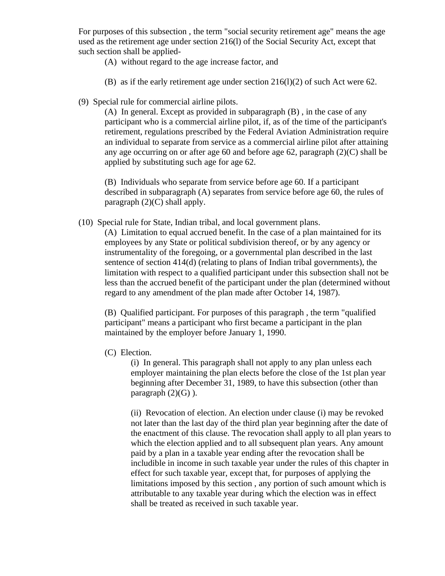For purposes of this subsection , the term "social security retirement age" means the age used as the retirement age under section 216(l) of the Social Security Act, except that such section shall be applied-

- (A) without regard to the age increase factor, and
- (B) as if the early retirement age under section 216(l)(2) of such Act were 62.
- (9) Special rule for commercial airline pilots.

(A) In general. Except as provided in subparagraph (B) , in the case of any participant who is a commercial airline pilot, if, as of the time of the participant's retirement, regulations prescribed by the Federal Aviation Administration require an individual to separate from service as a commercial airline pilot after attaining any age occurring on or after age 60 and before age 62, paragraph (2)(C) shall be applied by substituting such age for age 62.

(B) Individuals who separate from service before age 60. If a participant described in subparagraph (A) separates from service before age 60, the rules of paragraph  $(2)(C)$  shall apply.

(10) Special rule for State, Indian tribal, and local government plans.

(A) Limitation to equal accrued benefit. In the case of a plan maintained for its employees by any State or political subdivision thereof, or by any agency or instrumentality of the foregoing, or a governmental plan described in the last sentence of section 414(d) (relating to plans of Indian tribal governments), the limitation with respect to a qualified participant under this subsection shall not be less than the accrued benefit of the participant under the plan (determined without regard to any amendment of the plan made after October 14, 1987).

(B) Qualified participant. For purposes of this paragraph , the term "qualified participant" means a participant who first became a participant in the plan maintained by the employer before January 1, 1990.

(C) Election.

(i) In general. This paragraph shall not apply to any plan unless each employer maintaining the plan elects before the close of the 1st plan year beginning after December 31, 1989, to have this subsection (other than paragraph  $(2)(G)$ ).

(ii) Revocation of election. An election under clause (i) may be revoked not later than the last day of the third plan year beginning after the date of the enactment of this clause. The revocation shall apply to all plan years to which the election applied and to all subsequent plan years. Any amount paid by a plan in a taxable year ending after the revocation shall be includible in income in such taxable year under the rules of this chapter in effect for such taxable year, except that, for purposes of applying the limitations imposed by this section , any portion of such amount which is attributable to any taxable year during which the election was in effect shall be treated as received in such taxable year.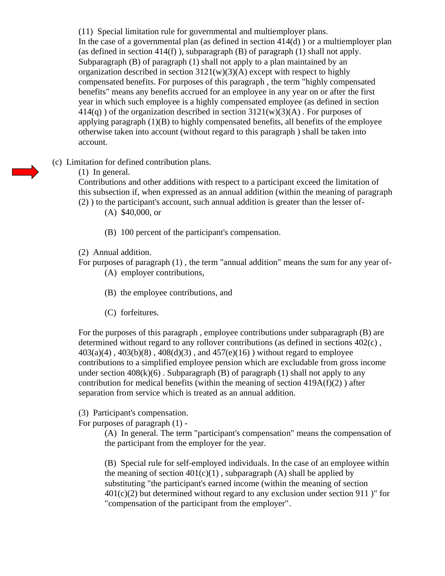(11) Special limitation rule for governmental and multiemployer plans. In the case of a governmental plan (as defined in section  $414(d)$ ) or a multiemployer plan (as defined in section  $414(f)$ ), subparagraph (B) of paragraph (1) shall not apply. Subparagraph (B) of paragraph (1) shall not apply to a plan maintained by an organization described in section  $3121(w)(3)(A)$  except with respect to highly compensated benefits. For purposes of this paragraph , the term "highly compensated benefits" means any benefits accrued for an employee in any year on or after the first year in which such employee is a highly compensated employee (as defined in section  $414(q)$ ) of the organization described in section  $3121(w)(3)(A)$ . For purposes of applying paragraph  $(1)(B)$  to highly compensated benefits, all benefits of the employee otherwise taken into account (without regard to this paragraph ) shall be taken into account.

(c) Limitation for defined contribution plans.

# (1) In general.

Contributions and other additions with respect to a participant exceed the limitation of this subsection if, when expressed as an annual addition (within the meaning of paragraph (2) ) to the participant's account, such annual addition is greater than the lesser of-

(A) \$40,000, or

- (B) 100 percent of the participant's compensation.
- (2) Annual addition.
- For purposes of paragraph (1) , the term "annual addition" means the sum for any year of- (A) employer contributions,
	- (B) the employee contributions, and
	- (C) forfeitures.

For the purposes of this paragraph , employee contributions under subparagraph (B) are determined without regard to any rollover contributions (as defined in sections 402(c) ,  $403(a)(4)$ ,  $403(b)(8)$ ,  $408(d)(3)$ , and  $457(e)(16)$ ) without regard to employee contributions to a simplified employee pension which are excludable from gross income under section  $408(k)(6)$ . Subparagraph (B) of paragraph (1) shall not apply to any contribution for medical benefits (within the meaning of section  $419A(f)(2)$ ) after separation from service which is treated as an annual addition.

(3) Participant's compensation.

For purposes of paragraph (1) -

(A) In general. The term "participant's compensation" means the compensation of the participant from the employer for the year.

(B) Special rule for self-employed individuals. In the case of an employee within the meaning of section  $401(c)(1)$ , subparagraph (A) shall be applied by substituting "the participant's earned income (within the meaning of section  $401(c)(2)$  but determined without regard to any exclusion under section 911)" for "compensation of the participant from the employer".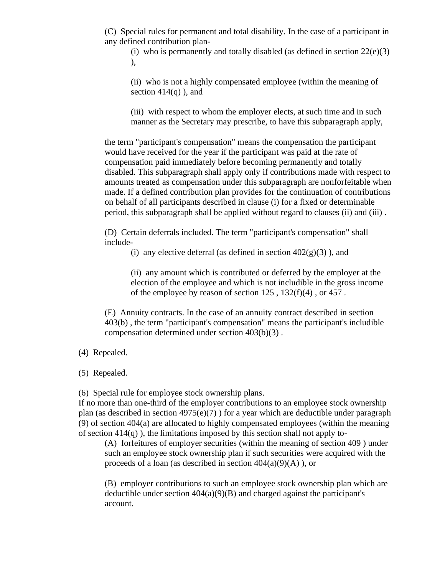(C) Special rules for permanent and total disability. In the case of a participant in any defined contribution plan-

(i) who is permanently and totally disabled (as defined in section  $22(e)(3)$ ),

(ii) who is not a highly compensated employee (within the meaning of section  $414(q)$ ), and

(iii) with respect to whom the employer elects, at such time and in such manner as the Secretary may prescribe, to have this subparagraph apply,

the term "participant's compensation" means the compensation the participant would have received for the year if the participant was paid at the rate of compensation paid immediately before becoming permanently and totally disabled. This subparagraph shall apply only if contributions made with respect to amounts treated as compensation under this subparagraph are nonforfeitable when made. If a defined contribution plan provides for the continuation of contributions on behalf of all participants described in clause (i) for a fixed or determinable period, this subparagraph shall be applied without regard to clauses (ii) and (iii) .

(D) Certain deferrals included. The term "participant's compensation" shall include-

(i) any elective deferral (as defined in section  $402(g)(3)$ ), and

(ii) any amount which is contributed or deferred by the employer at the election of the employee and which is not includible in the gross income of the employee by reason of section 125 , 132(f)(4) , or 457 .

(E) Annuity contracts. In the case of an annuity contract described in section 403(b) , the term "participant's compensation" means the participant's includible compensation determined under section 403(b)(3) .

#### (4) Repealed.

(5) Repealed.

(6) Special rule for employee stock ownership plans.

If no more than one-third of the employer contributions to an employee stock ownership plan (as described in section  $4975(e)(7)$ ) for a year which are deductible under paragraph (9) of section 404(a) are allocated to highly compensated employees (within the meaning of section  $414(q)$ ), the limitations imposed by this section shall not apply to-

(A) forfeitures of employer securities (within the meaning of section 409 ) under such an employee stock ownership plan if such securities were acquired with the proceeds of a loan (as described in section  $404(a)(9)(A)$ ), or

(B) employer contributions to such an employee stock ownership plan which are deductible under section  $404(a)(9)(B)$  and charged against the participant's account.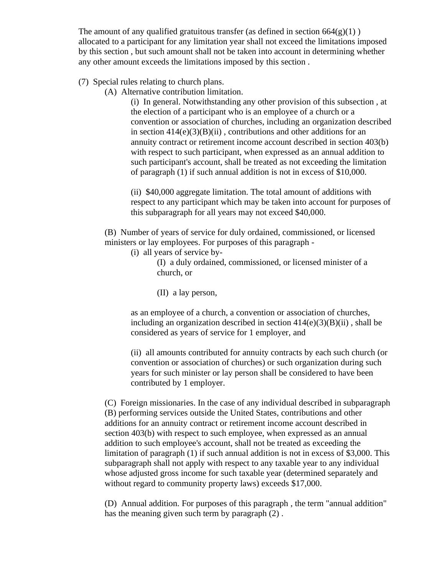The amount of any qualified gratuitous transfer (as defined in section  $664(g)(1)$ ) allocated to a participant for any limitation year shall not exceed the limitations imposed by this section , but such amount shall not be taken into account in determining whether any other amount exceeds the limitations imposed by this section .

(7) Special rules relating to church plans.

(A) Alternative contribution limitation.

(i) In general. Notwithstanding any other provision of this subsection , at the election of a participant who is an employee of a church or a convention or association of churches, including an organization described in section  $414(e)(3)(B)(ii)$ , contributions and other additions for an annuity contract or retirement income account described in section 403(b) with respect to such participant, when expressed as an annual addition to such participant's account, shall be treated as not exceeding the limitation of paragraph (1) if such annual addition is not in excess of \$10,000.

(ii) \$40,000 aggregate limitation. The total amount of additions with respect to any participant which may be taken into account for purposes of this subparagraph for all years may not exceed \$40,000.

(B) Number of years of service for duly ordained, commissioned, or licensed ministers or lay employees. For purposes of this paragraph -

(i) all years of service by-

(I) a duly ordained, commissioned, or licensed minister of a church, or

(II) a lay person,

as an employee of a church, a convention or association of churches, including an organization described in section  $414(e)(3)(B)(ii)$ , shall be considered as years of service for 1 employer, and

(ii) all amounts contributed for annuity contracts by each such church (or convention or association of churches) or such organization during such years for such minister or lay person shall be considered to have been contributed by 1 employer.

(C) Foreign missionaries. In the case of any individual described in subparagraph (B) performing services outside the United States, contributions and other additions for an annuity contract or retirement income account described in section 403(b) with respect to such employee, when expressed as an annual addition to such employee's account, shall not be treated as exceeding the limitation of paragraph (1) if such annual addition is not in excess of \$3,000. This subparagraph shall not apply with respect to any taxable year to any individual whose adjusted gross income for such taxable year (determined separately and without regard to community property laws) exceeds \$17,000.

(D) Annual addition. For purposes of this paragraph , the term "annual addition" has the meaning given such term by paragraph (2) .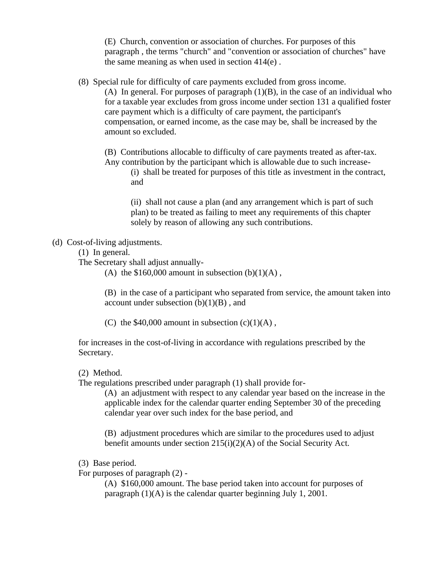(E) Church, convention or association of churches. For purposes of this paragraph , the terms "church" and "convention or association of churches" have the same meaning as when used in section 414(e) .

(8) Special rule for difficulty of care payments excluded from gross income.

(A) In general. For purposes of paragraph  $(1)(B)$ , in the case of an individual who for a taxable year excludes from gross income under section 131 a qualified foster care payment which is a difficulty of care payment, the participant's compensation, or earned income, as the case may be, shall be increased by the amount so excluded.

(B) Contributions allocable to difficulty of care payments treated as after-tax. Any contribution by the participant which is allowable due to such increase-

(i) shall be treated for purposes of this title as investment in the contract, and

(ii) shall not cause a plan (and any arrangement which is part of such plan) to be treated as failing to meet any requirements of this chapter solely by reason of allowing any such contributions.

#### (d) Cost-of-living adjustments.

(1) In general.

The Secretary shall adjust annually-

(A) the  $$160,000$  amount in subsection (b)(1)(A),

(B) in the case of a participant who separated from service, the amount taken into account under subsection  $(b)(1)(B)$ , and

(C) the  $$40,000$  amount in subsection (c)(1)(A),

for increases in the cost-of-living in accordance with regulations prescribed by the Secretary.

#### (2) Method.

The regulations prescribed under paragraph (1) shall provide for-

(A) an adjustment with respect to any calendar year based on the increase in the applicable index for the calendar quarter ending September 30 of the preceding calendar year over such index for the base period, and

(B) adjustment procedures which are similar to the procedures used to adjust benefit amounts under section 215(i)(2)(A) of the Social Security Act.

(3) Base period.

For purposes of paragraph (2) -

(A) \$160,000 amount. The base period taken into account for purposes of paragraph (1)(A) is the calendar quarter beginning July 1, 2001.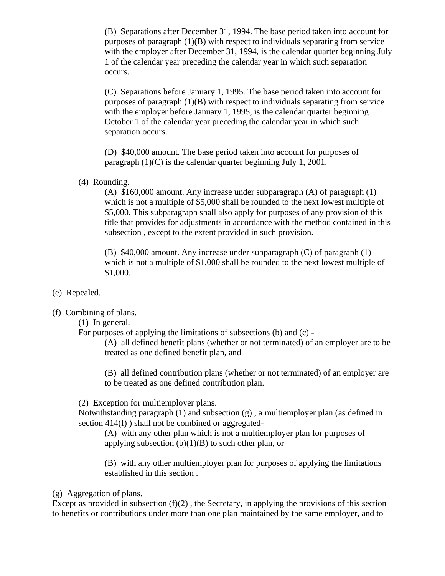(B) Separations after December 31, 1994. The base period taken into account for purposes of paragraph  $(1)(B)$  with respect to individuals separating from service with the employer after December 31, 1994, is the calendar quarter beginning July 1 of the calendar year preceding the calendar year in which such separation occurs.

(C) Separations before January 1, 1995. The base period taken into account for purposes of paragraph  $(1)(B)$  with respect to individuals separating from service with the employer before January 1, 1995, is the calendar quarter beginning October 1 of the calendar year preceding the calendar year in which such separation occurs.

(D) \$40,000 amount. The base period taken into account for purposes of paragraph (1)(C) is the calendar quarter beginning July 1, 2001.

(4) Rounding.

(A) \$160,000 amount. Any increase under subparagraph (A) of paragraph (1) which is not a multiple of \$5,000 shall be rounded to the next lowest multiple of \$5,000. This subparagraph shall also apply for purposes of any provision of this title that provides for adjustments in accordance with the method contained in this subsection , except to the extent provided in such provision.

(B) \$40,000 amount. Any increase under subparagraph (C) of paragraph (1) which is not a multiple of \$1,000 shall be rounded to the next lowest multiple of \$1,000.

- (e) Repealed.
- (f) Combining of plans.
	- (1) In general.
	- For purposes of applying the limitations of subsections (b) and (c) -

(A) all defined benefit plans (whether or not terminated) of an employer are to be treated as one defined benefit plan, and

(B) all defined contribution plans (whether or not terminated) of an employer are to be treated as one defined contribution plan.

(2) Exception for multiemployer plans.

Notwithstanding paragraph (1) and subsection (g) , a multiemployer plan (as defined in section 414(f) ) shall not be combined or aggregated-

(A) with any other plan which is not a multiemployer plan for purposes of applying subsection  $(b)(1)(B)$  to such other plan, or

(B) with any other multiemployer plan for purposes of applying the limitations established in this section .

## (g) Aggregation of plans.

Except as provided in subsection  $(f)(2)$ , the Secretary, in applying the provisions of this section to benefits or contributions under more than one plan maintained by the same employer, and to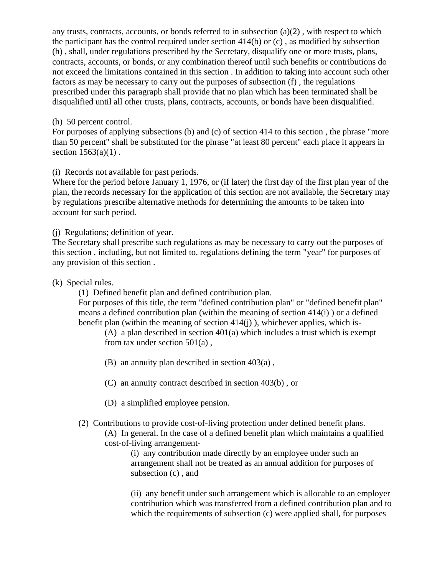any trusts, contracts, accounts, or bonds referred to in subsection  $(a)(2)$ , with respect to which the participant has the control required under section  $414(b)$  or (c), as modified by subsection (h) , shall, under regulations prescribed by the Secretary, disqualify one or more trusts, plans, contracts, accounts, or bonds, or any combination thereof until such benefits or contributions do not exceed the limitations contained in this section . In addition to taking into account such other factors as may be necessary to carry out the purposes of subsection (f) , the regulations prescribed under this paragraph shall provide that no plan which has been terminated shall be disqualified until all other trusts, plans, contracts, accounts, or bonds have been disqualified.

## (h) 50 percent control.

For purposes of applying subsections (b) and (c) of section 414 to this section , the phrase "more than 50 percent" shall be substituted for the phrase "at least 80 percent" each place it appears in section  $1563(a)(1)$ .

(i) Records not available for past periods.

Where for the period before January 1, 1976, or (if later) the first day of the first plan year of the plan, the records necessary for the application of this section are not available, the Secretary may by regulations prescribe alternative methods for determining the amounts to be taken into account for such period.

(j) Regulations; definition of year.

The Secretary shall prescribe such regulations as may be necessary to carry out the purposes of this section , including, but not limited to, regulations defining the term "year" for purposes of any provision of this section .

(k) Special rules.

(1) Defined benefit plan and defined contribution plan.

For purposes of this title, the term "defined contribution plan" or "defined benefit plan" means a defined contribution plan (within the meaning of section 414(i) ) or a defined benefit plan (within the meaning of section  $414(i)$ ), whichever applies, which is-

(A) a plan described in section 401(a) which includes a trust which is exempt from tax under section 501(a) ,

(B) an annuity plan described in section 403(a) ,

(C) an annuity contract described in section 403(b) , or

- (D) a simplified employee pension.
- (2) Contributions to provide cost-of-living protection under defined benefit plans.

(A) In general. In the case of a defined benefit plan which maintains a qualified cost-of-living arrangement-

> (i) any contribution made directly by an employee under such an arrangement shall not be treated as an annual addition for purposes of subsection (c) , and

(ii) any benefit under such arrangement which is allocable to an employer contribution which was transferred from a defined contribution plan and to which the requirements of subsection (c) were applied shall, for purposes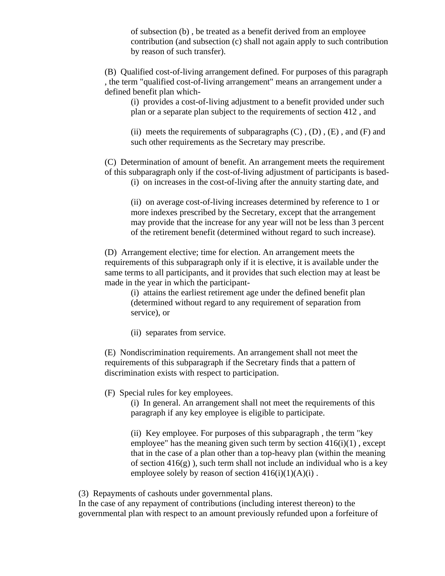of subsection (b) , be treated as a benefit derived from an employee contribution (and subsection (c) shall not again apply to such contribution by reason of such transfer).

(B) Qualified cost-of-living arrangement defined. For purposes of this paragraph , the term "qualified cost-of-living arrangement" means an arrangement under a defined benefit plan which-

(i) provides a cost-of-living adjustment to a benefit provided under such plan or a separate plan subject to the requirements of section 412 , and

(ii) meets the requirements of subparagraphs  $(C)$ ,  $(D)$ ,  $(E)$ , and  $(F)$  and such other requirements as the Secretary may prescribe.

(C) Determination of amount of benefit. An arrangement meets the requirement of this subparagraph only if the cost-of-living adjustment of participants is based-

(i) on increases in the cost-of-living after the annuity starting date, and

(ii) on average cost-of-living increases determined by reference to 1 or more indexes prescribed by the Secretary, except that the arrangement may provide that the increase for any year will not be less than 3 percent of the retirement benefit (determined without regard to such increase).

(D) Arrangement elective; time for election. An arrangement meets the requirements of this subparagraph only if it is elective, it is available under the same terms to all participants, and it provides that such election may at least be made in the year in which the participant-

(i) attains the earliest retirement age under the defined benefit plan (determined without regard to any requirement of separation from service), or

(ii) separates from service.

(E) Nondiscrimination requirements. An arrangement shall not meet the requirements of this subparagraph if the Secretary finds that a pattern of discrimination exists with respect to participation.

(F) Special rules for key employees.

(i) In general. An arrangement shall not meet the requirements of this paragraph if any key employee is eligible to participate.

(ii) Key employee. For purposes of this subparagraph , the term "key employee" has the meaning given such term by section  $416(i)(1)$ , except that in the case of a plan other than a top-heavy plan (within the meaning of section  $416(g)$ , such term shall not include an individual who is a key employee solely by reason of section  $416(i)(1)(A)(i)$ .

(3) Repayments of cashouts under governmental plans.

In the case of any repayment of contributions (including interest thereon) to the governmental plan with respect to an amount previously refunded upon a forfeiture of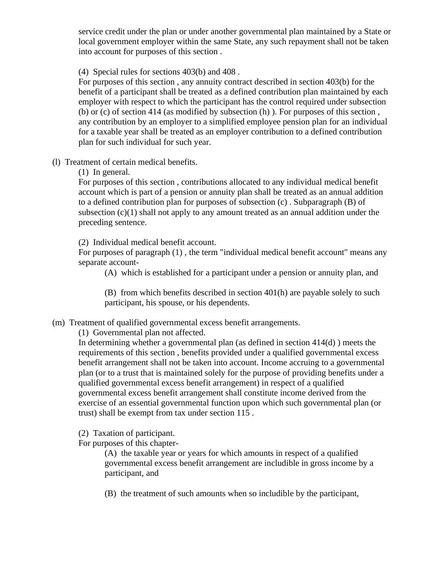service credit under the plan or under another governmental plan maintained by a State or local government employer within the same State, any such repayment shall not be taken into account for purposes of this section .

(4) Special rules for sections 403(b) and 408 .

For purposes of this section , any annuity contract described in section 403(b) for the benefit of a participant shall be treated as a defined contribution plan maintained by each employer with respect to which the participant has the control required under subsection (b) or (c) of section 414 (as modified by subsection (h) ). For purposes of this section , any contribution by an employer to a simplified employee pension plan for an individual for a taxable year shall be treated as an employer contribution to a defined contribution plan for such individual for such year.

(l) Treatment of certain medical benefits.

(1) In general.

For purposes of this section , contributions allocated to any individual medical benefit account which is part of a pension or annuity plan shall be treated as an annual addition to a defined contribution plan for purposes of subsection (c) . Subparagraph (B) of subsection  $(c)(1)$  shall not apply to any amount treated as an annual addition under the preceding sentence.

(2) Individual medical benefit account.

For purposes of paragraph (1) , the term "individual medical benefit account" means any separate account-

(A) which is established for a participant under a pension or annuity plan, and

(B) from which benefits described in section 401(h) are payable solely to such participant, his spouse, or his dependents.

(m) Treatment of qualified governmental excess benefit arrangements.

(1) Governmental plan not affected.

In determining whether a governmental plan (as defined in section 414(d) ) meets the requirements of this section , benefits provided under a qualified governmental excess benefit arrangement shall not be taken into account. Income accruing to a governmental plan (or to a trust that is maintained solely for the purpose of providing benefits under a qualified governmental excess benefit arrangement) in respect of a qualified governmental excess benefit arrangement shall constitute income derived from the exercise of an essential governmental function upon which such governmental plan (or trust) shall be exempt from tax under section 115 .

(2) Taxation of participant.

For purposes of this chapter-

(A) the taxable year or years for which amounts in respect of a qualified governmental excess benefit arrangement are includible in gross income by a participant, and

(B) the treatment of such amounts when so includible by the participant,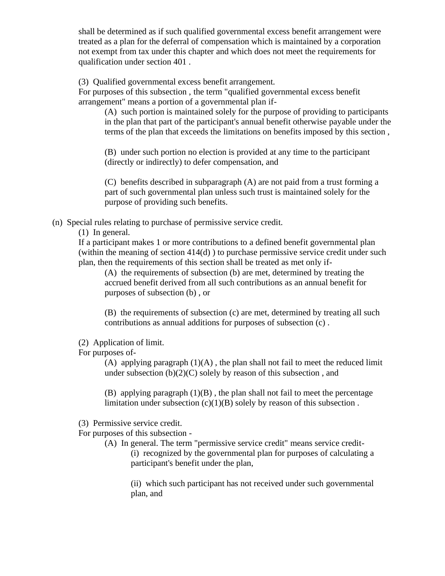shall be determined as if such qualified governmental excess benefit arrangement were treated as a plan for the deferral of compensation which is maintained by a corporation not exempt from tax under this chapter and which does not meet the requirements for qualification under section 401 .

(3) Qualified governmental excess benefit arrangement.

For purposes of this subsection , the term "qualified governmental excess benefit arrangement" means a portion of a governmental plan if-

(A) such portion is maintained solely for the purpose of providing to participants in the plan that part of the participant's annual benefit otherwise payable under the terms of the plan that exceeds the limitations on benefits imposed by this section ,

(B) under such portion no election is provided at any time to the participant (directly or indirectly) to defer compensation, and

(C) benefits described in subparagraph (A) are not paid from a trust forming a part of such governmental plan unless such trust is maintained solely for the purpose of providing such benefits.

(n) Special rules relating to purchase of permissive service credit.

(1) In general.

If a participant makes 1 or more contributions to a defined benefit governmental plan (within the meaning of section 414(d) ) to purchase permissive service credit under such plan, then the requirements of this section shall be treated as met only if-

(A) the requirements of subsection (b) are met, determined by treating the accrued benefit derived from all such contributions as an annual benefit for purposes of subsection (b) , or

(B) the requirements of subsection (c) are met, determined by treating all such contributions as annual additions for purposes of subsection (c) .

(2) Application of limit.

For purposes of-

(A) applying paragraph  $(1)(A)$ , the plan shall not fail to meet the reduced limit under subsection  $(b)(2)(C)$  solely by reason of this subsection, and

(B) applying paragraph  $(1)(B)$ , the plan shall not fail to meet the percentage limitation under subsection  $(c)(1)(B)$  solely by reason of this subsection.

(3) Permissive service credit.

For purposes of this subsection -

(A) In general. The term "permissive service credit" means service credit- (i) recognized by the governmental plan for purposes of calculating a participant's benefit under the plan,

(ii) which such participant has not received under such governmental plan, and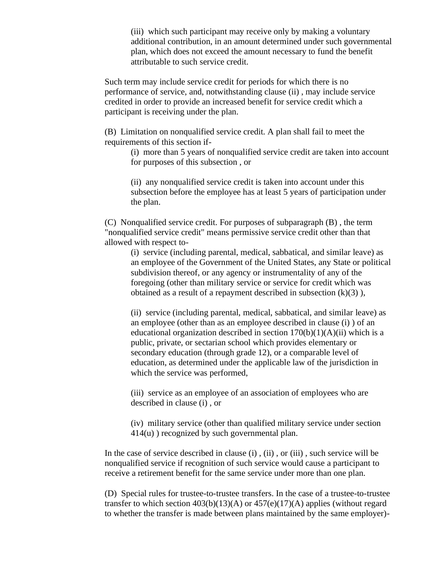(iii) which such participant may receive only by making a voluntary additional contribution, in an amount determined under such governmental plan, which does not exceed the amount necessary to fund the benefit attributable to such service credit.

Such term may include service credit for periods for which there is no performance of service, and, notwithstanding clause (ii) , may include service credited in order to provide an increased benefit for service credit which a participant is receiving under the plan.

(B) Limitation on nonqualified service credit. A plan shall fail to meet the requirements of this section if-

> (i) more than 5 years of nonqualified service credit are taken into account for purposes of this subsection , or

(ii) any nonqualified service credit is taken into account under this subsection before the employee has at least 5 years of participation under the plan.

(C) Nonqualified service credit. For purposes of subparagraph (B) , the term "nonqualified service credit" means permissive service credit other than that allowed with respect to-

(i) service (including parental, medical, sabbatical, and similar leave) as an employee of the Government of the United States, any State or political subdivision thereof, or any agency or instrumentality of any of the foregoing (other than military service or service for credit which was obtained as a result of a repayment described in subsection  $(k)(3)$ ),

(ii) service (including parental, medical, sabbatical, and similar leave) as an employee (other than as an employee described in clause (i) ) of an educational organization described in section  $170(b)(1)(A)(ii)$  which is a public, private, or sectarian school which provides elementary or secondary education (through grade 12), or a comparable level of education, as determined under the applicable law of the jurisdiction in which the service was performed,

(iii) service as an employee of an association of employees who are described in clause (i) , or

(iv) military service (other than qualified military service under section 414(u) ) recognized by such governmental plan.

In the case of service described in clause (i) , (ii) , or (iii) , such service will be nonqualified service if recognition of such service would cause a participant to receive a retirement benefit for the same service under more than one plan.

(D) Special rules for trustee-to-trustee transfers. In the case of a trustee-to-trustee transfer to which section  $403(b)(13)(A)$  or  $457(e)(17)(A)$  applies (without regard to whether the transfer is made between plans maintained by the same employer)-